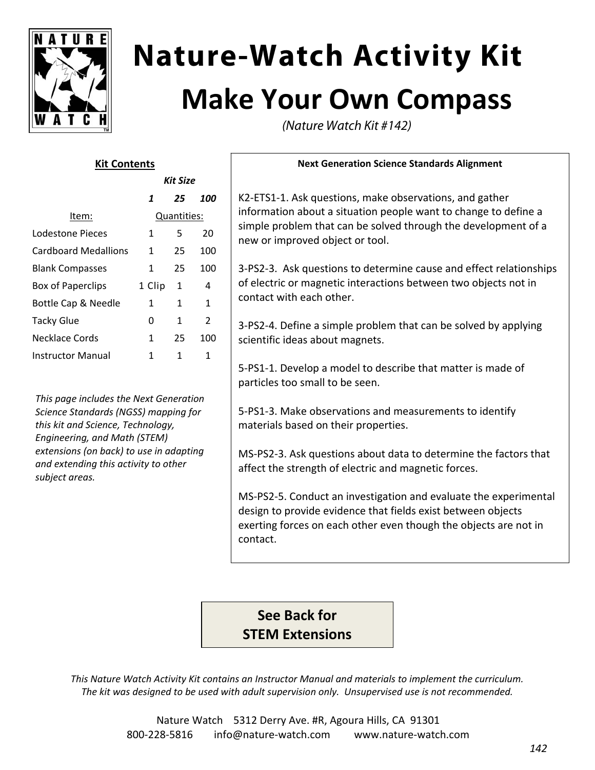

# **Nature-Watch Activity Kit Make Your Own Compass**

(Nature Watch Kit #142)

#### **Kit Contents**

|                             | Kit Size    |    |                |
|-----------------------------|-------------|----|----------------|
|                             | 1           | 25 | 100            |
| Item:                       | Quantities: |    |                |
| Lodestone Pieces            | 1           | 5  | 20             |
| <b>Cardboard Medallions</b> | 1.          | 25 | 100            |
| <b>Blank Compasses</b>      | 1           | 25 | 100            |
| <b>Box of Paperclips</b>    | 1 Clip      | 1  | 4              |
| Bottle Cap & Needle         | 1           | 1  | 1              |
| <b>Tacky Glue</b>           | 0           | 1  | $\overline{2}$ |
| Necklace Cords              | 1           | 25 | 100            |
| <b>Instructor Manual</b>    |             | 1  | 1              |

*This page includes the Next Generation Science Standards (NGSS) mapping for this kit and Science, Technology, Engineering, and Math (STEM) extensions (on back) to use in adapting and extending this activity to other subject areas.*

#### **Next Generation Science Standards Alignment**

K2‐ETS1‐1. Ask questions, make observations, and gather information about a situation people want to change to define a simple problem that can be solved through the development of a new or improved object or tool.

3‐PS2‐3. Ask questions to determine cause and effect relationships of electric or magnetic interactions between two objects not in contact with each other.

3‐PS2‐4. Define a simple problem that can be solved by applying scientific ideas about magnets.

5‐PS1‐1. Develop a model to describe that matter is made of particles too small to be seen.

5‐PS1‐3. Make observations and measurements to identify materials based on their properties.

MS‐PS2‐3. Ask questions about data to determine the factors that affect the strength of electric and magnetic forces.

MS‐PS2‐5. Conduct an investigation and evaluate the experimental design to provide evidence that fields exist between objects exerting forces on each other even though the objects are not in contact.

### **See Back for STEM Extensions**

*This Nature Watch Activity Kit contains an Instructor Manual and materials to implement the curriculum. The kit was designed to be used with adult supervision only. Unsupervised use is not recommended.*